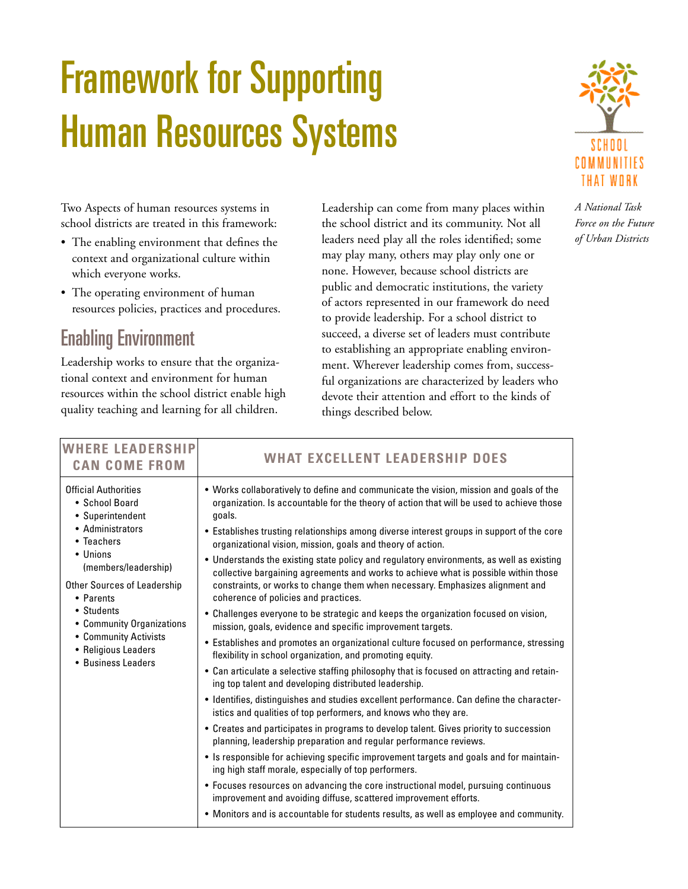# Framework for Supporting Human Resources Systems



Two Aspects of human resources systems in school districts are treated in this framework:

- The enabling environment that defines the context and organizational culture within which everyone works.
- The operating environment of human resources policies, practices and procedures.

## Enabling Environment

Leadership works to ensure that the organizational context and environment for human resources within the school district enable high quality teaching and learning for all children.

Leadership can come from many places within the school district and its community. Not all leaders need play all the roles identified; some may play many, others may play only one or none. However, because school districts are public and democratic institutions, the variety of actors represented in our framework do need to provide leadership. For a school district to succeed, a diverse set of leaders must contribute to establishing an appropriate enabling environment. Wherever leadership comes from, successful organizations are characterized by leaders who devote their attention and effort to the kinds of things described below.

*A National Task Force on the Future of Urban Districts*

| <b>WHERE LEADERSHIP</b><br><b>CAN COME FROM</b>                                                                                                                                                                                                                                                             | <b>WHAT EXCELLENT LEADERSHIP DOES</b>                                                                                                                                                                                                                                                                                                                                                                                                                                                                                                                                                                                                                                                                                                                                                                                                                                                                                                                                                                                                                                                                                                                                                                                                                                                                                                                                                                                                                                                                                                                                                                                                                                                                          |
|-------------------------------------------------------------------------------------------------------------------------------------------------------------------------------------------------------------------------------------------------------------------------------------------------------------|----------------------------------------------------------------------------------------------------------------------------------------------------------------------------------------------------------------------------------------------------------------------------------------------------------------------------------------------------------------------------------------------------------------------------------------------------------------------------------------------------------------------------------------------------------------------------------------------------------------------------------------------------------------------------------------------------------------------------------------------------------------------------------------------------------------------------------------------------------------------------------------------------------------------------------------------------------------------------------------------------------------------------------------------------------------------------------------------------------------------------------------------------------------------------------------------------------------------------------------------------------------------------------------------------------------------------------------------------------------------------------------------------------------------------------------------------------------------------------------------------------------------------------------------------------------------------------------------------------------------------------------------------------------------------------------------------------------|
| <b>Official Authorities</b><br>• School Board<br>• Superintendent<br>• Administrators<br>• Teachers<br>• Unions<br>(members/leadership)<br><b>Other Sources of Leadership</b><br>• Parents<br>• Students<br>• Community Organizations<br>• Community Activists<br>• Religious Leaders<br>• Business Leaders | . Works collaboratively to define and communicate the vision, mission and goals of the<br>organization. Is accountable for the theory of action that will be used to achieve those<br>goals.<br>• Establishes trusting relationships among diverse interest groups in support of the core<br>organizational vision, mission, goals and theory of action.<br>• Understands the existing state policy and regulatory environments, as well as existing<br>collective bargaining agreements and works to achieve what is possible within those<br>constraints, or works to change them when necessary. Emphasizes alignment and<br>coherence of policies and practices.<br>• Challenges everyone to be strategic and keeps the organization focused on vision,<br>mission, goals, evidence and specific improvement targets.<br>• Establishes and promotes an organizational culture focused on performance, stressing<br>flexibility in school organization, and promoting equity.<br>• Can articulate a selective staffing philosophy that is focused on attracting and retain-<br>ing top talent and developing distributed leadership.<br>• Identifies, distinguishes and studies excellent performance. Can define the character-<br>istics and qualities of top performers, and knows who they are.<br>• Creates and participates in programs to develop talent. Gives priority to succession<br>planning, leadership preparation and regular performance reviews.<br>• Is responsible for achieving specific improvement targets and goals and for maintain-<br>ing high staff morale, especially of top performers.<br>• Focuses resources on advancing the core instructional model, pursuing continuous |
|                                                                                                                                                                                                                                                                                                             | improvement and avoiding diffuse, scattered improvement efforts.<br>• Monitors and is accountable for students results, as well as employee and community.                                                                                                                                                                                                                                                                                                                                                                                                                                                                                                                                                                                                                                                                                                                                                                                                                                                                                                                                                                                                                                                                                                                                                                                                                                                                                                                                                                                                                                                                                                                                                     |